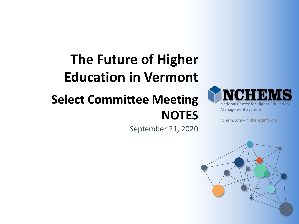# **The Future of Higher Education in Vermont**

# **Select Committee Meeting NOTES**

September 21, 2020



nchems.org • higheredinfo.org

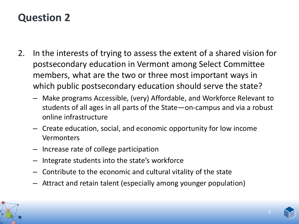- 2. In the interests of trying to assess the extent of a shared vision for postsecondary education in Vermont among Select Committee members, what are the two or three most important ways in which public postsecondary education should serve the state?
	- Make programs Accessible, (very) Affordable, and Workforce Relevant to students of all ages in all parts of the State—on-campus and via a robust online infrastructure
	- Create education, social, and economic opportunity for low income Vermonters
	- Increase rate of college participation
	- Integrate students into the state's workforce
	- Contribute to the economic and cultural vitality of the state
	- Attract and retain talent (especially among younger population)



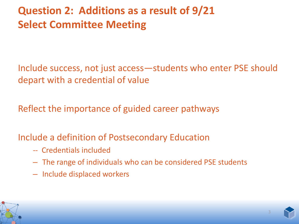## **Question 2: Additions as a result of 9/21 Select Committee Meeting**

Include success, not just access—students who enter PSE should depart with a credential of value

Reflect the importance of guided career pathways

Include a definition of Postsecondary Education

- -- Credentials included
- The range of individuals who can be considered PSE students
- Include displaced workers



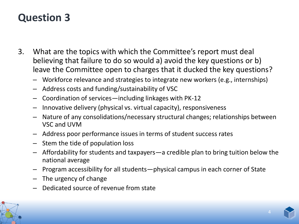- 3. What are the topics with which the Committee's report must deal believing that failure to do so would a) avoid the key questions or b) leave the Committee open to charges that it ducked the key questions?
	- Workforce relevance and strategies to integrate new workers (e.g., internships)
	- Address costs and funding/sustainability of VSC
	- Coordination of services—including linkages with PK-12
	- Innovative delivery (physical vs. virtual capacity), responsiveness
	- Nature of any consolidations/necessary structural changes; relationships between VSC and UVM
	- Address poor performance issues in terms of student success rates
	- Stem the tide of population loss
	- Affordability for students and taxpayers—a credible plan to bring tuition below the national average
	- Program accessibility for all students—physical campus in each corner of State
	- The urgency of change
	- Dedicated source of revenue from state



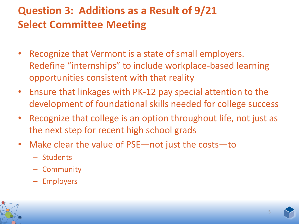# **Question 3: Additions as a Result of 9/21 Select Committee Meeting**

- Recognize that Vermont is a state of small employers. Redefine "internships" to include workplace-based learning opportunities consistent with that reality
- Ensure that linkages with PK-12 pay special attention to the development of foundational skills needed for college success
- Recognize that college is an option throughout life, not just as the next step for recent high school grads
- Make clear the value of PSE—not just the costs—to
	- Students
	- Community
	- Employers



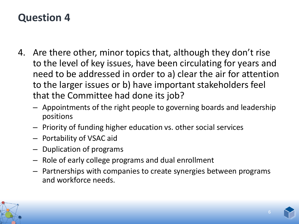- 4. Are there other, minor topics that, although they don't rise to the level of key issues, have been circulating for years and need to be addressed in order to a) clear the air for attention to the larger issues or b) have important stakeholders feel that the Committee had done its job?
	- Appointments of the right people to governing boards and leadership positions
	- Priority of funding higher education vs. other social services
	- Portability of VSAC aid
	- Duplication of programs
	- Role of early college programs and dual enrollment
	- Partnerships with companies to create synergies between programs and workforce needs.



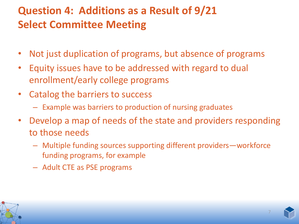# **Question 4: Additions as a Result of 9/21 Select Committee Meeting**

- Not just duplication of programs, but absence of programs
- Equity issues have to be addressed with regard to dual enrollment/early college programs
- Catalog the barriers to success
	- Example was barriers to production of nursing graduates
- Develop a map of needs of the state and providers responding to those needs
	- Multiple funding sources supporting different providers—workforce funding programs, for example
	- Adult CTE as PSE programs



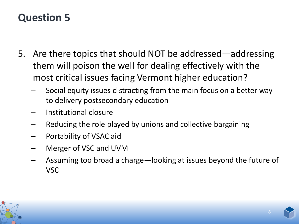- 5. Are there topics that should NOT be addressed—addressing them will poison the well for dealing effectively with the most critical issues facing Vermont higher education?
	- Social equity issues distracting from the main focus on a better way to delivery postsecondary education
	- Institutional closure
	- Reducing the role played by unions and collective bargaining
	- Portability of VSAC aid
	- Merger of VSC and UVM
	- Assuming too broad a charge—looking at issues beyond the future of VSC



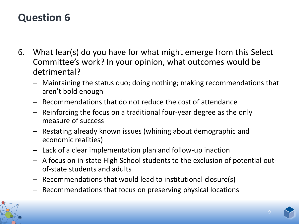- 6. What fear(s) do you have for what might emerge from this Select Committee's work? In your opinion, what outcomes would be detrimental?
	- Maintaining the status quo; doing nothing; making recommendations that aren't bold enough
	- Recommendations that do not reduce the cost of attendance
	- Reinforcing the focus on a traditional four-year degree as the only measure of success
	- Restating already known issues (whining about demographic and economic realities)
	- Lack of a clear implementation plan and follow-up inaction
	- A focus on in-state High School students to the exclusion of potential outof-state students and adults
	- Recommendations that would lead to institutional closure(s)
	- Recommendations that focus on preserving physical locations